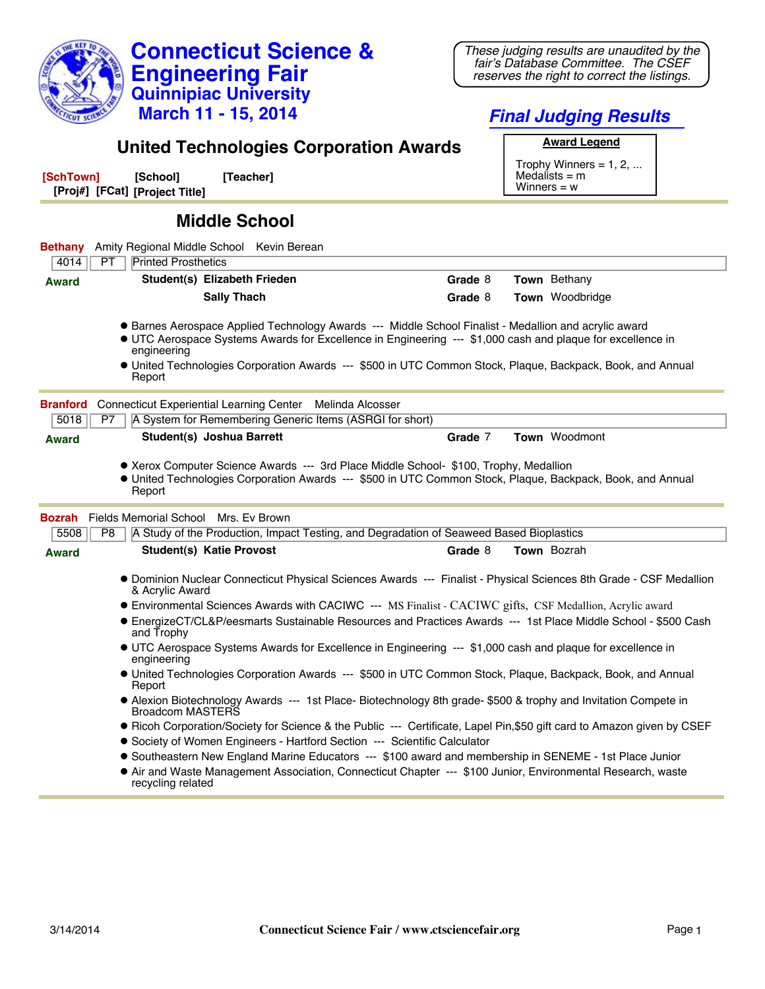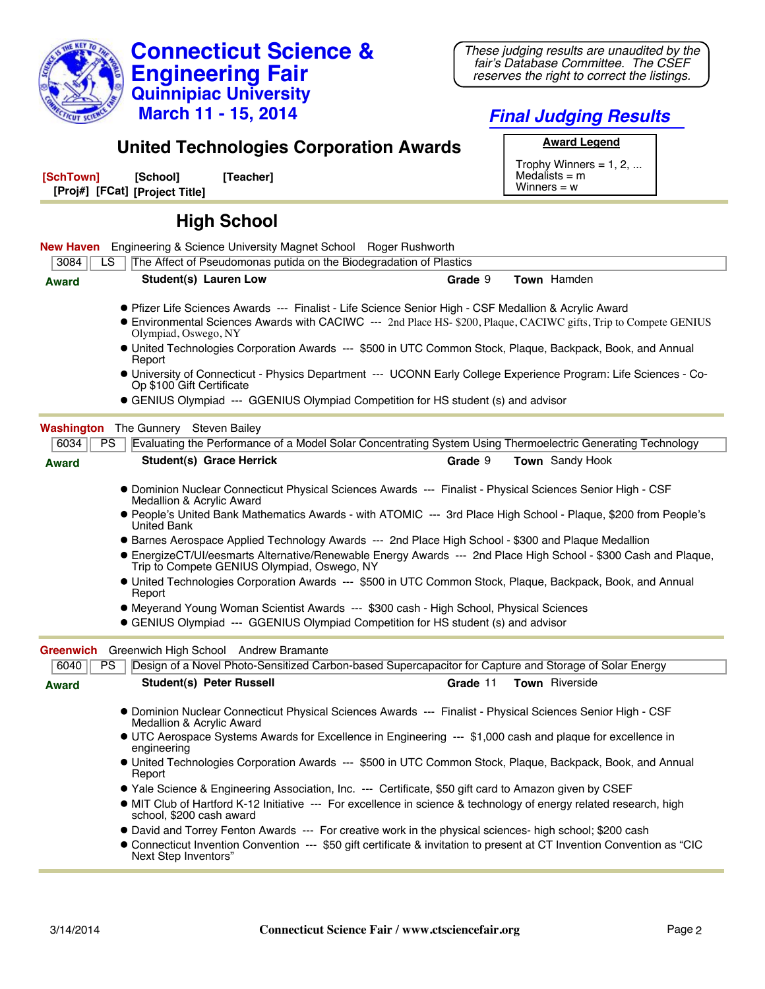

## **Final Judging Results**

## **United Technologies Corporation Awards**

| [SchTown] | [School]                       | [Teacher] |
|-----------|--------------------------------|-----------|
|           | [Proj#] [FCat] [Project Title] |           |

**Award Legend** Trophy Winners =  $1, 2, ...$ Medalists = m Winners  $= w$ 

## **High School**

|                  | <b>New Haven</b> Engineering & Science University Magnet School Roger Rushworth                                                                                                                                                                  |          |                        |
|------------------|--------------------------------------------------------------------------------------------------------------------------------------------------------------------------------------------------------------------------------------------------|----------|------------------------|
| 3084             | The Affect of Pseudomonas putida on the Biodegradation of Plastics<br>ı s                                                                                                                                                                        |          |                        |
| <b>Award</b>     | <b>Student(s) Lauren Low</b>                                                                                                                                                                                                                     | Grade 9  | Town Hamden            |
|                  | Pfizer Life Sciences Awards --- Finalist - Life Science Senior High - CSF Medallion & Acrylic Award<br>• Environmental Sciences Awards with CACIWC --- 2nd Place HS- \$200, Plaque, CACIWC gifts, Trip to Compete GENIUS<br>Olympiad, Oswego, NY |          |                        |
|                  | • United Technologies Corporation Awards --- \$500 in UTC Common Stock, Plaque, Backpack, Book, and Annual<br>Report                                                                                                                             |          |                        |
|                  | • University of Connecticut - Physics Department --- UCONN Early College Experience Program: Life Sciences - Co-<br>Op \$100 Gift Certificate                                                                                                    |          |                        |
|                  | • GENIUS Olympiad --- GGENIUS Olympiad Competition for HS student (s) and advisor                                                                                                                                                                |          |                        |
|                  | <b>Washington</b> The Gunnery Steven Bailey                                                                                                                                                                                                      |          |                        |
| 6034             | PS<br>Evaluating the Performance of a Model Solar Concentrating System Using Thermoelectric Generating Technology                                                                                                                                |          |                        |
| <b>Award</b>     | <b>Student(s) Grace Herrick</b>                                                                                                                                                                                                                  | Grade 9  | <b>Town</b> Sandy Hook |
|                  | · Dominion Nuclear Connecticut Physical Sciences Awards --- Finalist - Physical Sciences Senior High - CSF<br>Medallion & Acrylic Award                                                                                                          |          |                        |
|                  | • People's United Bank Mathematics Awards - with ATOMIC --- 3rd Place High School - Plaque, \$200 from People's<br><b>United Bank</b>                                                                                                            |          |                        |
|                  | • Barnes Aerospace Applied Technology Awards --- 2nd Place High School - \$300 and Plaque Medallion                                                                                                                                              |          |                        |
|                  | ● EnergizeCT/UI/eesmarts Alternative/Renewable Energy Awards --- 2nd Place High School - \$300 Cash and Plaque,<br>Trip to Compete GENIUS Olympiad, Oswego, NY                                                                                   |          |                        |
|                  | • United Technologies Corporation Awards --- \$500 in UTC Common Stock, Plaque, Backpack, Book, and Annual<br>Report                                                                                                                             |          |                        |
|                  | • Meyerand Young Woman Scientist Awards --- \$300 cash - High School, Physical Sciences                                                                                                                                                          |          |                        |
|                  | • GENIUS Olympiad --- GGENIUS Olympiad Competition for HS student (s) and advisor                                                                                                                                                                |          |                        |
| <b>Greenwich</b> | Greenwich High School Andrew Bramante                                                                                                                                                                                                            |          |                        |
| 6040             | Design of a Novel Photo-Sensitized Carbon-based Supercapacitor for Capture and Storage of Solar Energy<br>PS                                                                                                                                     |          |                        |
| <b>Award</b>     | <b>Student(s) Peter Russell</b>                                                                                                                                                                                                                  | Grade 11 | Town Riverside         |
|                  | · Dominion Nuclear Connecticut Physical Sciences Awards --- Finalist - Physical Sciences Senior High - CSF<br>Medallion & Acrylic Award                                                                                                          |          |                        |
|                  | • UTC Aerospace Systems Awards for Excellence in Engineering --- \$1,000 cash and plaque for excellence in<br>engineering                                                                                                                        |          |                        |
|                  | • United Technologies Corporation Awards --- \$500 in UTC Common Stock, Plaque, Backpack, Book, and Annual<br>Report                                                                                                                             |          |                        |
|                  | • Yale Science & Engineering Association, Inc. --- Certificate, \$50 gift card to Amazon given by CSEF                                                                                                                                           |          |                        |
|                  | • MIT Club of Hartford K-12 Initiative --- For excellence in science & technology of energy related research, high<br>school, \$200 cash award                                                                                                   |          |                        |
|                  | • David and Torrey Fenton Awards --- For creative work in the physical sciences- high school; \$200 cash                                                                                                                                         |          |                        |
|                  | ● Connecticut Invention Convention --- \$50 gift certificate & invitation to present at CT Invention Convention as "CIC<br>Next Step Inventors"                                                                                                  |          |                        |